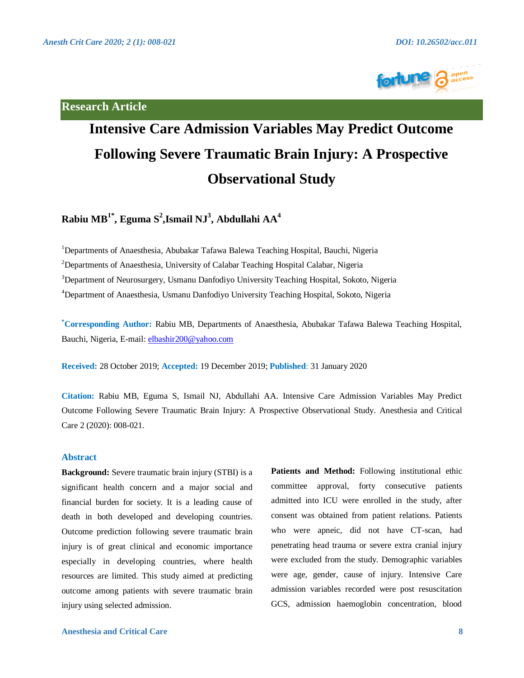**Research Article**



# **Intensive Care Admission Variables May Predict Outcome Following Severe Traumatic Brain Injury: A Prospective Observational Study**

# **Rabiu MB1\* , Eguma S<sup>2</sup> ,Ismail NJ<sup>3</sup> , Abdullahi AA<sup>4</sup>**

<sup>1</sup>Departments of Anaesthesia, Abubakar Tafawa Balewa Teaching Hospital, Bauchi, Nigeria

<sup>2</sup>Departments of Anaesthesia, University of Calabar Teaching Hospital Calabar, Nigeria

<sup>3</sup>Department of Neurosurgery, Usmanu Danfodiyo University Teaching Hospital, Sokoto, Nigeria

<sup>4</sup>Department of Anaesthesia, Usmanu Danfodiyo University Teaching Hospital, Sokoto, Nigeria

**\*Corresponding Author:** Rabiu MB, Departments of Anaesthesia, Abubakar Tafawa Balewa Teaching Hospital, Bauchi, Nigeria, E-mail: [elbashir200@yahoo.com](mailto:elbashir200@yahoo.com)

**Received:** 28 October 2019; **Accepted:** 19 December 2019; **Published**: 31 January 2020

**Citation:** Rabiu MB, Eguma S, Ismail NJ, Abdullahi AA. Intensive Care Admission Variables May Predict Outcome Following Severe Traumatic Brain Injury: A Prospective Observational Study. Anesthesia and Critical Care 2 (2020): 008-021.

# **Abstract**

**Background:** Severe traumatic brain injury (STBI) is a significant health concern and a major social and financial burden for society. It is a leading cause of death in both developed and developing countries. Outcome prediction following severe traumatic brain injury is of great clinical and economic importance especially in developing countries, where health resources are limited. This study aimed at predicting outcome among patients with severe traumatic brain injury using selected admission.

Patients and Method: Following institutional ethic committee approval, forty consecutive patients admitted into ICU were enrolled in the study, after consent was obtained from patient relations. Patients who were apneic, did not have CT-scan, had penetrating head trauma or severe extra cranial injury were excluded from the study. Demographic variables were age, gender, cause of injury. Intensive Care admission variables recorded were post resuscitation GCS, admission haemoglobin concentration, blood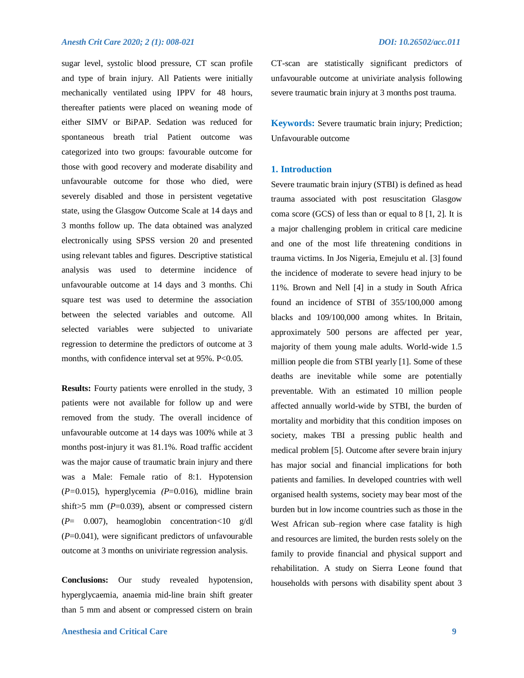sugar level, systolic blood pressure, CT scan profile and type of brain injury. All Patients were initially mechanically ventilated using IPPV for 48 hours, thereafter patients were placed on weaning mode of either SIMV or BiPAP. Sedation was reduced for spontaneous breath trial Patient outcome was categorized into two groups: favourable outcome for those with good recovery and moderate disability and unfavourable outcome for those who died, were severely disabled and those in persistent vegetative state, using the Glasgow Outcome Scale at 14 days and 3 months follow up. The data obtained was analyzed electronically using SPSS version 20 and presented using relevant tables and figures. Descriptive statistical analysis was used to determine incidence of unfavourable outcome at 14 days and 3 months. Chi square test was used to determine the association between the selected variables and outcome. All selected variables were subjected to univariate regression to determine the predictors of outcome at 3 months, with confidence interval set at 95%. P<0.05.

**Results:** Fourty patients were enrolled in the study, 3 patients were not available for follow up and were removed from the study. The overall incidence of unfavourable outcome at 14 days was 100% while at 3 months post-injury it was 81.1%. Road traffic accident was the major cause of traumatic brain injury and there was a Male: Female ratio of 8:1. Hypotension (*P=*0.015), hyperglycemia *(P*=0.016), midline brain shift>5 mm (*P*=0.039), absent or compressed cistern (*P*= 0.007), heamoglobin concentration<10 g/dl (*P*=0.041), were significant predictors of unfavourable outcome at 3 months on univiriate regression analysis.

**Conclusions:** Our study revealed hypotension, hyperglycaemia, anaemia mid-line brain shift greater than 5 mm and absent or compressed cistern on brain

CT-scan are statistically significant predictors of unfavourable outcome at univiriate analysis following severe traumatic brain injury at 3 months post trauma.

**Keywords:** Severe traumatic brain injury; Prediction; Unfavourable outcome

### **1. Introduction**

Severe traumatic brain injury (STBI) is defined as head trauma associated with post resuscitation Glasgow coma score (GCS) of less than or equal to 8 [1, 2]. It is a major challenging problem in critical care medicine and one of the most life threatening conditions in trauma victims. In Jos Nigeria, Emejulu et al. [3] found the incidence of moderate to severe head injury to be 11%. Brown and Nell [4] in a study in South Africa found an incidence of STBI of 355/100,000 among blacks and 109/100,000 among whites. In Britain, approximately 500 persons are affected per year, majority of them young male adults. World-wide 1.5 million people die from STBI yearly [1]. Some of these deaths are inevitable while some are potentially preventable. With an estimated 10 million people affected annually world-wide by STBI, the burden of mortality and morbidity that this condition imposes on society, makes TBI a pressing public health and medical problem [5]. Outcome after severe brain injury has major social and financial implications for both patients and families. In developed countries with well organised health systems, society may bear most of the burden but in low income countries such as those in the West African sub–region where case fatality is high and resources are limited, the burden rests solely on the family to provide financial and physical support and rehabilitation. A study on Sierra Leone found that households with persons with disability spent about 3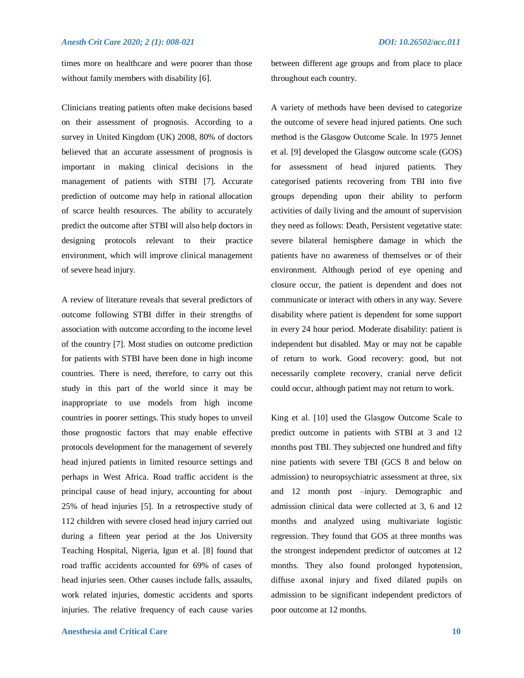times more on healthcare and were poorer than those without family members with disability [6].

Clinicians treating patients often make decisions based on their assessment of prognosis. According to a survey in United Kingdom (UK) 2008, 80% of doctors believed that an accurate assessment of prognosis is important in making clinical decisions in the management of patients with STBI [7]. Accurate prediction of outcome may help in rational allocation of scarce health resources. The ability to accurately predict the outcome after STBI will also help doctors in designing protocols relevant to their practice environment, which will improve clinical management of severe head injury.

A review of literature reveals that several predictors of outcome following STBI differ in their strengths of association with outcome according to the income level of the country [7]. Most studies on outcome prediction for patients with STBI have been done in high income countries. There is need, therefore, to carry out this study in this part of the world since it may be inappropriate to use models from high income countries in poorer settings. This study hopes to unveil those prognostic factors that may enable effective protocols development for the management of severely head injured patients in limited resource settings and perhaps in West Africa. Road traffic accident is the principal cause of head injury, accounting for about 25% of head injuries [5]. In a retrospective study of 112 children with severe closed head injury carried out during a fifteen year period at the Jos University Teaching Hospital, Nigeria, Igun et al. [8] found that road traffic accidents accounted for 69% of cases of head injuries seen. Other causes include falls, assaults, work related injuries, domestic accidents and sports injuries. The relative frequency of each cause varies between different age groups and from place to place throughout each country.

A variety of methods have been devised to categorize the outcome of severe head injured patients. One such method is the Glasgow Outcome Scale. In 1975 Jennet et al. [9] developed the Glasgow outcome scale (GOS) for assessment of head injured patients. They categorised patients recovering from TBI into five groups depending upon their ability to perform activities of daily living and the amount of supervision they need as follows: Death, Persistent vegetative state: severe bilateral hemisphere damage in which the patients have no awareness of themselves or of their environment. Although period of eye opening and closure occur, the patient is dependent and does not communicate or interact with others in any way. Severe disability where patient is dependent for some support in every 24 hour period. Moderate disability: patient is independent but disabled. May or may not be capable of return to work. Good recovery: good, but not necessarily complete recovery, cranial nerve deficit could occur, although patient may not return to work.

King et al. [10] used the Glasgow Outcome Scale to predict outcome in patients with STBI at 3 and 12 months post TBI. They subjected one hundred and fifty nine patients with severe TBI (GCS 8 and below on admission) to neuropsychiatric assessment at three, six and 12 month post –injury. Demographic and admission clinical data were collected at 3, 6 and 12 months and analyzed using multivariate logistic regression. They found that GOS at three months was the strongest independent predictor of outcomes at 12 months. They also found prolonged hypotension, diffuse axonal injury and fixed dilated pupils on admission to be significant independent predictors of poor outcome at 12 months.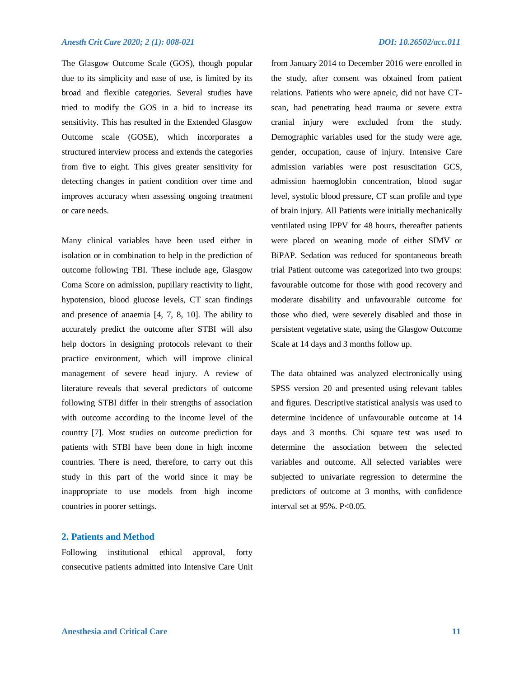The Glasgow Outcome Scale (GOS), though popular due to its simplicity and ease of use, is limited by its broad and flexible categories. Several studies have tried to modify the GOS in a bid to increase its

sensitivity. This has resulted in the Extended Glasgow Outcome scale (GOSE), which incorporates a structured interview process and extends the categories from five to eight. This gives greater sensitivity for detecting changes in patient condition over time and improves accuracy when assessing ongoing treatment or care needs.

Many clinical variables have been used either in isolation or in combination to help in the prediction of outcome following TBI. These include age, Glasgow Coma Score on admission, pupillary reactivity to light, hypotension, blood glucose levels, CT scan findings and presence of anaemia [4, 7, 8, 10]. The ability to accurately predict the outcome after STBI will also help doctors in designing protocols relevant to their practice environment, which will improve clinical management of severe head injury. A review of literature reveals that several predictors of outcome following STBI differ in their strengths of association with outcome according to the income level of the country [7]. Most studies on outcome prediction for patients with STBI have been done in high income countries. There is need, therefore, to carry out this study in this part of the world since it may be inappropriate to use models from high income countries in poorer settings.

# **2. Patients and Method**

Following institutional ethical approval, forty consecutive patients admitted into Intensive Care Unit from January 2014 to December 2016 were enrolled in the study, after consent was obtained from patient relations. Patients who were apneic, did not have CTscan, had penetrating head trauma or severe extra cranial injury were excluded from the study. Demographic variables used for the study were age, gender, occupation, cause of injury. Intensive Care admission variables were post resuscitation GCS, admission haemoglobin concentration, blood sugar level, systolic blood pressure, CT scan profile and type of brain injury. All Patients were initially mechanically ventilated using IPPV for 48 hours, thereafter patients were placed on weaning mode of either SIMV or BiPAP. Sedation was reduced for spontaneous breath trial Patient outcome was categorized into two groups: favourable outcome for those with good recovery and moderate disability and unfavourable outcome for those who died, were severely disabled and those in persistent vegetative state, using the Glasgow Outcome Scale at 14 days and 3 months follow up.

The data obtained was analyzed electronically using SPSS version 20 and presented using relevant tables and figures. Descriptive statistical analysis was used to determine incidence of unfavourable outcome at 14 days and 3 months. Chi square test was used to determine the association between the selected variables and outcome. All selected variables were subjected to univariate regression to determine the predictors of outcome at 3 months, with confidence interval set at  $95\%$ . P< $0.05$ .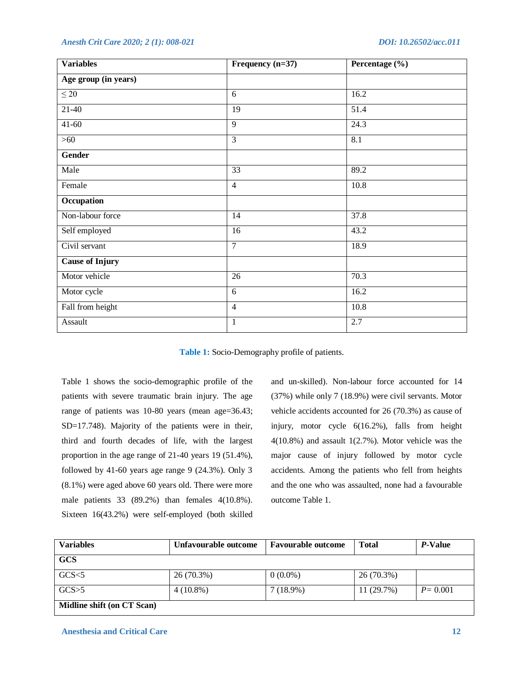| <b>Variables</b>       | Frequency (n=37) | Percentage (%) |  |
|------------------------|------------------|----------------|--|
| Age group (in years)   |                  |                |  |
| $\leq 20$              | 6                | 16.2           |  |
| $21-40$                | 19               | 51.4           |  |
| $41 - 60$              | $\overline{9}$   | 24.3           |  |
| $>60$                  | $\overline{3}$   | 8.1            |  |
| <b>Gender</b>          |                  |                |  |
| Male                   | 33               | 89.2           |  |
| Female                 | $\overline{4}$   | 10.8           |  |
| Occupation             |                  |                |  |
| Non-labour force       | 14               | 37.8           |  |
| Self employed          | 16               | 43.2           |  |
| Civil servant          | $\overline{7}$   | 18.9           |  |
| <b>Cause of Injury</b> |                  |                |  |
| Motor vehicle          | $\overline{26}$  | 70.3           |  |
| Motor cycle            | 6                | 16.2           |  |
| Fall from height       | $\overline{4}$   | 10.8           |  |
| Assault                | $\mathbf{1}$     | 2.7            |  |

**Table 1:** Socio-Demography profile of patients.

Table 1 shows the socio-demographic profile of the patients with severe traumatic brain injury. The age range of patients was 10-80 years (mean age=36.43; SD=17.748). Majority of the patients were in their, third and fourth decades of life, with the largest proportion in the age range of 21-40 years 19 (51.4%), followed by 41-60 years age range 9 (24.3%). Only 3 (8.1%) were aged above 60 years old. There were more male patients 33 (89.2%) than females 4(10.8%). Sixteen 16(43.2%) were self-employed (both skilled

and un-skilled). Non-labour force accounted for 14 (37%) while only 7 (18.9%) were civil servants. Motor vehicle accidents accounted for 26 (70.3%) as cause of injury, motor cycle 6(16.2%), falls from height 4(10.8%) and assault 1(2.7%). Motor vehicle was the major cause of injury followed by motor cycle accidents. Among the patients who fell from heights and the one who was assaulted, none had a favourable outcome Table 1.

| <b>Variables</b>           | Unfavourable outcome<br><b>Favourable outcome</b> |            | <b>Total</b> | P-Value     |
|----------------------------|---------------------------------------------------|------------|--------------|-------------|
| <b>GCS</b>                 |                                                   |            |              |             |
| GCS<5                      | 26 (70.3%)                                        | $0(0.0\%)$ | 26 (70.3%)   |             |
| GCS > 5                    | $4(10.8\%)$                                       | 7(18.9%)   | 11 (29.7%)   | $P = 0.001$ |
| Midline shift (on CT Scan) |                                                   |            |              |             |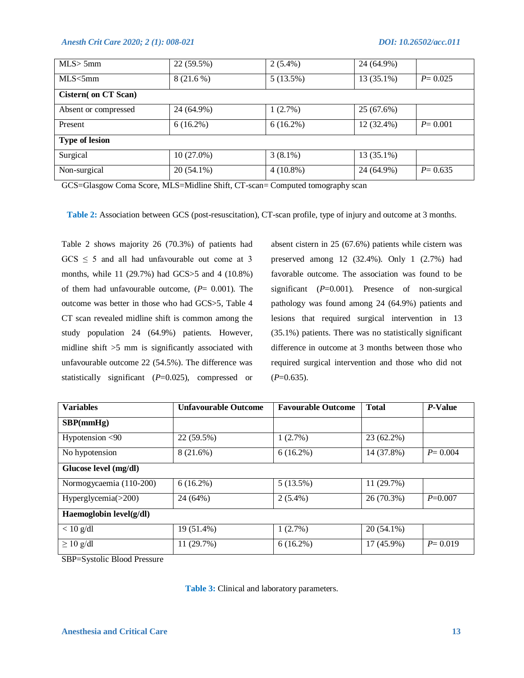| MLS > 5mm                   | 22 (59.5%)   | $2(5.4\%)$  | 24 (64.9%) |             |  |
|-----------------------------|--------------|-------------|------------|-------------|--|
| MLS < 5mm                   | $8(21.6\%)$  | 5(13.5%)    | 13 (35.1%) | $P = 0.025$ |  |
| <b>Cistern</b> (on CT Scan) |              |             |            |             |  |
| Absent or compressed        | 24 (64.9%)   | 1(2.7%)     | 25 (67.6%) |             |  |
| Present                     | $6(16.2\%)$  | $6(16.2\%)$ | 12 (32.4%) | $P = 0.001$ |  |
| <b>Type of lesion</b>       |              |             |            |             |  |
| Surgical                    | $10(27.0\%)$ | $3(8.1\%)$  | 13 (35.1%) |             |  |
| Non-surgical                | 20 (54.1%)   | $4(10.8\%)$ | 24 (64.9%) | $P = 0.635$ |  |

GCS=Glasgow Coma Score, MLS=Midline Shift, CT-scan= Computed tomography scan

**Table 2:** Association between GCS (post-resuscitation), CT-scan profile, type of injury and outcome at 3 months.

Table 2 shows majority 26 (70.3%) of patients had  $GCS \leq 5$  and all had unfavourable out come at 3 months, while 11 (29.7%) had GCS>5 and 4 (10.8%) of them had unfavourable outcome, (*P*= 0.001). The outcome was better in those who had GCS>5, Table 4 CT scan revealed midline shift is common among the study population 24 (64.9%) patients. However, midline shift >5 mm is significantly associated with unfavourable outcome 22 (54.5%). The difference was statistically significant (*P*=0.025), compressed or

absent cistern in 25 (67.6%) patients while cistern was preserved among 12 (32.4%). Only 1 (2.7%) had favorable outcome. The association was found to be significant (*P*=0.001). Presence of non-surgical pathology was found among 24 (64.9%) patients and lesions that required surgical intervention in 13 (35.1%) patients. There was no statistically significant difference in outcome at 3 months between those who required surgical intervention and those who did not  $(P=0.635)$ .

| <b>Variables</b>          | <b>Unfavourable Outcome</b> | <b>Favourable Outcome</b> | <b>Total</b> | P-Value     |  |
|---------------------------|-----------------------------|---------------------------|--------------|-------------|--|
| SBP(mmHg)                 |                             |                           |              |             |  |
| Hypotension $<$ 90        | 22 (59.5%)                  | $1(2.7\%)$                | 23 (62.2%)   |             |  |
| No hypotension            | 8 (21.6%)                   | 14 (37.8%)<br>$6(16.2\%)$ |              | $P = 0.004$ |  |
| Glucose level (mg/dl)     |                             |                           |              |             |  |
| Normogycaemia (110-200)   | $6(16.2\%)$                 | 11 (29.7%)<br>5(13.5%)    |              |             |  |
| Hyperglycemia(>200)       | 24 (64%)                    | $2(5.4\%)$                | 26 (70.3%)   | $P = 0.007$ |  |
| Haemoglobin $level(g/dl)$ |                             |                           |              |             |  |
| $< 10$ g/dl               | 19 (51.4%)                  | 20 (54.1%)<br>1(2.7%)     |              |             |  |
| $\geq 10$ g/dl            | 11 (29.7%)                  | $6(16.2\%)$               |              | $P = 0.019$ |  |
|                           |                             |                           |              |             |  |

SBP=Systolic Blood Pressure

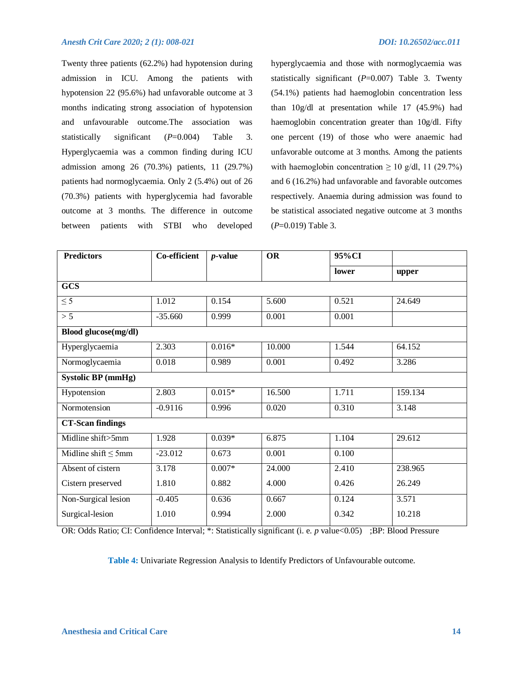Twenty three patients (62.2%) had hypotension during admission in ICU. Among the patients with hypotension 22 (95.6%) had unfavorable outcome at 3 months indicating strong association of hypotension and unfavourable outcome.The association was statistically significant (*P*=0.004) Table 3. Hyperglycaemia was a common finding during ICU admission among 26 (70.3%) patients, 11 (29.7%) patients had normoglycaemia. Only 2 (5.4%) out of 26 (70.3%) patients with hyperglycemia had favorable outcome at 3 months. The difference in outcome between patients with STBI who developed hyperglycaemia and those with normoglycaemia was statistically significant (*P*=0.007) Table 3. Twenty (54.1%) patients had haemoglobin concentration less than 10g/dl at presentation while 17 (45.9%) had haemoglobin concentration greater than 10g/dl. Fifty one percent (19) of those who were anaemic had unfavorable outcome at 3 months. Among the patients with haemoglobin concentration  $\geq 10$  g/dl, 11 (29.7%) and 6 (16.2%) had unfavorable and favorable outcomes respectively. Anaemia during admission was found to be statistical associated negative outcome at 3 months (*P*=0.019) Table 3.

| <b>Predictors</b>         | Co-efficient | <i>p</i> -value | <b>OR</b> | 95%CI |         |
|---------------------------|--------------|-----------------|-----------|-------|---------|
|                           |              |                 |           | lower | upper   |
| <b>GCS</b>                |              |                 |           |       |         |
| $\leq$ 5                  | 1.012        | 0.154           | 5.600     | 0.521 | 24.649  |
| > 5                       | $-35.660$    | 0.999           | 0.001     | 0.001 |         |
| Blood glucose(mg/dl)      |              |                 |           |       |         |
| Hyperglycaemia            | 2.303        | $0.016*$        | 10.000    | 1.544 | 64.152  |
| Normoglycaemia            | 0.018        | 0.989           | 0.001     | 0.492 | 3.286   |
| <b>Systolic BP</b> (mmHg) |              |                 |           |       |         |
| Hypotension               | 2.803        | $0.015*$        | 16.500    | 1.711 | 159.134 |
| Normotension              | $-0.9116$    | 0.996           | 0.020     | 0.310 | 3.148   |
| <b>CT-Scan findings</b>   |              |                 |           |       |         |
| Midline shift>5mm         | 1.928        | $0.039*$        | 6.875     | 1.104 | 29.612  |
| Midline shift $\leq$ 5mm  | $-23.012$    | 0.673           | 0.001     | 0.100 |         |
| Absent of cistern         | 3.178        | $0.007*$        | 24.000    | 2.410 | 238.965 |
| Cistern preserved         | 1.810        | 0.882           | 4.000     | 0.426 | 26.249  |
| Non-Surgical lesion       | $-0.405$     | 0.636           | 0.667     | 0.124 | 3.571   |
| Surgical-lesion           | 1.010        | 0.994           | 2.000     | 0.342 | 10.218  |

OR: Odds Ratio; CI: Confidence Interval; \*: Statistically significant (i. e. *p* value<0.05) ;BP: Blood Pressure

**Table 4:** Univariate Regression Analysis to Identify Predictors of Unfavourable outcome.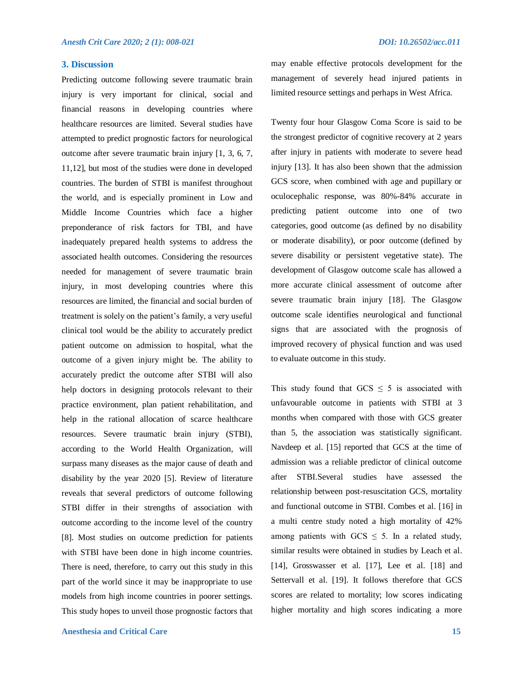# **3. Discussion**

Predicting outcome following severe traumatic brain injury is very important for clinical, social and financial reasons in developing countries where healthcare resources are limited. Several studies have attempted to predict prognostic factors for neurological outcome after severe traumatic brain injury [1, 3, 6, 7, 11,12], but most of the studies were done in developed countries. The burden of STBI is manifest throughout the world, and is especially prominent in Low and Middle Income Countries which face a higher preponderance of risk factors for TBI, and have inadequately prepared health systems to address the associated health outcomes. Considering the resources needed for management of severe traumatic brain injury, in most developing countries where this resources are limited, the financial and social burden of treatment is solely on the patient's family, a very useful clinical tool would be the ability to accurately predict patient outcome on admission to hospital, what the outcome of a given injury might be. The ability to accurately predict the outcome after STBI will also help doctors in designing protocols relevant to their practice environment, plan patient rehabilitation, and help in the rational allocation of scarce healthcare resources. Severe traumatic brain injury (STBI), according to the World Health Organization, will surpass many diseases as the major cause of death and disability by the year 2020 [5]. Review of literature reveals that several predictors of outcome following STBI differ in their strengths of association with outcome according to the income level of the country [8]. Most studies on outcome prediction for patients with STBI have been done in high income countries. There is need, therefore, to carry out this study in this part of the world since it may be inappropriate to use models from high income countries in poorer settings. This study hopes to unveil those prognostic factors that

**Anesthesia and Critical Care** 15

may enable effective protocols development for the management of severely head injured patients in limited resource settings and perhaps in West Africa.

Twenty four hour Glasgow Coma Score is said to be the strongest predictor of cognitive recovery at 2 years after injury in patients with moderate to severe head injury [13]. It has also been shown that the admission GCS score, when combined with age and pupillary or oculocephalic response, was 80%-84% accurate in predicting patient outcome into one of two categories, good outcome (as defined by no disability or moderate disability), or poor outcome (defined by severe disability or persistent vegetative state). The development of Glasgow outcome scale has allowed a more accurate clinical assessment of outcome after severe traumatic brain injury [18]. The Glasgow outcome scale identifies neurological and functional signs that are associated with the prognosis of improved recovery of physical function and was used to evaluate outcome in this study.

This study found that  $GCS \leq 5$  is associated with unfavourable outcome in patients with STBI at 3 months when compared with those with GCS greater than 5, the association was statistically significant. Navdeep et al. [15] reported that GCS at the time of admission was a reliable predictor of clinical outcome after STBI.Several studies have assessed the relationship between post-resuscitation GCS, mortality and functional outcome in STBI. Combes et al. [16] in a multi centre study noted a high mortality of 42% among patients with  $GCS \leq 5$ . In a related study, similar results were obtained in studies by Leach et al. [14], Grosswasser et al. [17], Lee et al. [18] and Settervall et al. [19]. It follows therefore that GCS scores are related to mortality; low scores indicating higher mortality and high scores indicating a more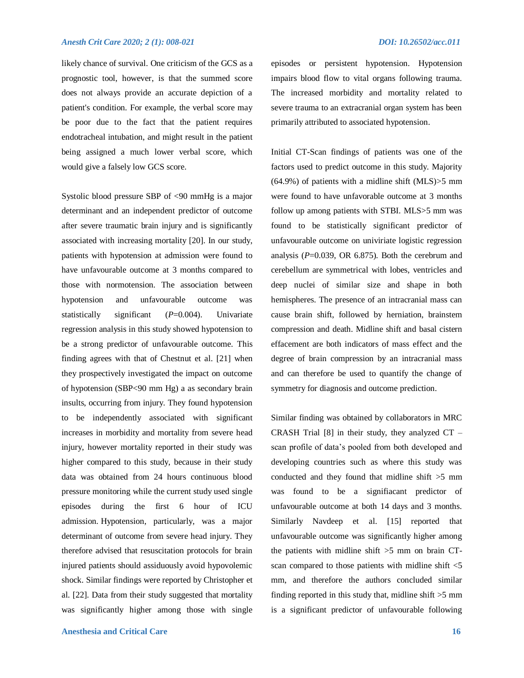likely chance of survival. One criticism of the GCS as a prognostic tool, however, is that the summed score does not always provide an accurate depiction of a patient's condition. For example, the verbal score may be poor due to the fact that the patient requires endotracheal intubation, and might result in the patient being assigned a much lower verbal score, which would give a falsely low GCS score.

Systolic blood pressure SBP of <90 mmHg is a major determinant and an independent predictor of outcome after severe traumatic brain injury and is significantly associated with increasing mortality [20]. In our study, patients with hypotension at admission were found to have unfavourable outcome at 3 months compared to those with normotension. The association between hypotension and unfavourable outcome was statistically significant (*P*=0.004). Univariate regression analysis in this study showed hypotension to be a strong predictor of unfavourable outcome. This finding agrees with that of Chestnut et al. [21] when they prospectively investigated the impact on outcome of hypotension (SBP<90 mm Hg) a as secondary brain insults, occurring from injury. They found hypotension to be independently associated with significant increases in morbidity and mortality from severe head injury, however mortality reported in their study was higher compared to this study, because in their study data was obtained from 24 hours continuous blood pressure monitoring while the current study used single episodes during the first 6 hour of ICU admission. Hypotension, particularly, was a major determinant of outcome from severe head injury. They therefore advised that resuscitation protocols for brain injured patients should assiduously avoid hypovolemic shock. Similar findings were reported by Christopher et al. [22]. Data from their study suggested that mortality was significantly higher among those with single episodes or persistent hypotension. Hypotension impairs blood flow to vital organs following trauma. The increased morbidity and mortality related to severe trauma to an extracranial organ system has been primarily attributed to associated hypotension.

Initial CT-Scan findings of patients was one of the factors used to predict outcome in this study. Majority (64.9%) of patients with a midline shift (MLS)>5 mm were found to have unfavorable outcome at 3 months follow up among patients with STBI. MLS>5 mm was found to be statistically significant predictor of unfavourable outcome on univiriate logistic regression analysis (*P*=0.039, OR 6.875). Both the cerebrum and cerebellum are symmetrical with lobes, ventricles and deep nuclei of similar size and shape in both hemispheres. The presence of an intracranial mass can cause brain shift, followed by herniation, brainstem compression and death. Midline shift and basal cistern effacement are both indicators of mass effect and the degree of brain compression by an intracranial mass and can therefore be used to quantify the change of symmetry for diagnosis and outcome prediction.

Similar finding was obtained by collaborators in MRC CRASH Trial [8] in their study, they analyzed CT – scan profile of data's pooled from both developed and developing countries such as where this study was conducted and they found that midline shift >5 mm was found to be a signifiacant predictor of unfavourable outcome at both 14 days and 3 months. Similarly Navdeep et al. [15] reported that unfavourable outcome was significantly higher among the patients with midline shift >5 mm on brain CTscan compared to those patients with midline shift <5 mm, and therefore the authors concluded similar finding reported in this study that, midline shift  $>5$  mm is a significant predictor of unfavourable following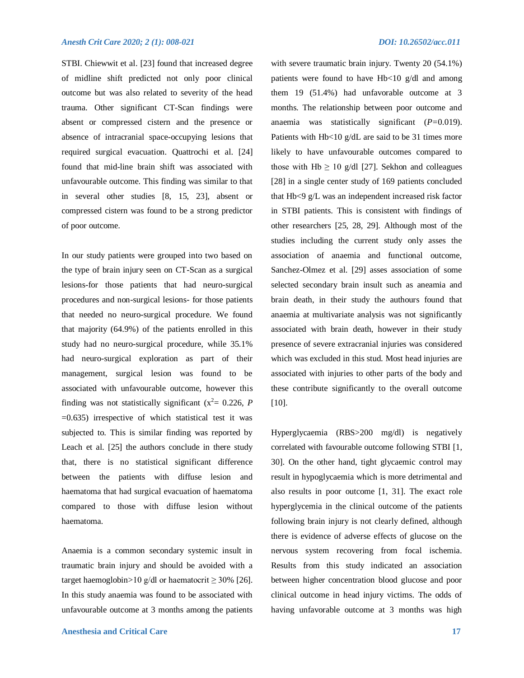STBI. Chiewwit et al. [23] found that increased degree of midline shift predicted not only poor clinical outcome but was also related to severity of the head trauma. Other significant CT-Scan findings were absent or compressed cistern and the presence or absence of intracranial space-occupying lesions that required surgical evacuation. Quattrochi et al. [24] found that mid-line brain shift was associated with unfavourable outcome. This finding was similar to that in several other studies [8, 15, 23], absent or compressed cistern was found to be a strong predictor of poor outcome.

In our study patients were grouped into two based on the type of brain injury seen on CT-Scan as a surgical lesions-for those patients that had neuro-surgical procedures and non-surgical lesions- for those patients that needed no neuro-surgical procedure. We found that majority (64.9%) of the patients enrolled in this study had no neuro-surgical procedure, while 35.1% had neuro-surgical exploration as part of their management, surgical lesion was found to be associated with unfavourable outcome, however this finding was not statistically significant  $(x^2 = 0.226, P)$  $=0.635$ ) irrespective of which statistical test it was subjected to. This is similar finding was reported by Leach et al. [25] the authors conclude in there study that, there is no statistical significant difference between the patients with diffuse lesion and haematoma that had surgical evacuation of haematoma compared to those with diffuse lesion without haematoma.

Anaemia is a common secondary systemic insult in traumatic brain injury and should be avoided with a target haemoglobin>10 g/dl or haematocrit  $\geq$  30% [26]. In this study anaemia was found to be associated with unfavourable outcome at 3 months among the patients with severe traumatic brain injury. Twenty 20 (54.1%) patients were found to have Hb<10 g/dl and among them 19 (51.4%) had unfavorable outcome at 3 months. The relationship between poor outcome and anaemia was statistically significant (*P=*0.019). Patients with Hb<10 g/dL are said to be 31 times more likely to have unfavourable outcomes compared to those with Hb  $\geq 10$  g/dl [27]. Sekhon and colleagues [28] in a single center study of 169 patients concluded that Hb<9 g/L was an independent increased risk factor in STBI patients. This is consistent with findings of other researchers [25, 28, 29]. Although most of the studies including the current study only asses the association of anaemia and functional outcome, Sanchez-Olmez et al. [29] asses association of some selected secondary brain insult such as aneamia and brain death, in their study the authours found that anaemia at multivariate analysis was not significantly associated with brain death, however in their study presence of severe extracranial injuries was considered which was excluded in this stud. Most head injuries are associated with injuries to other parts of the body and these contribute significantly to the overall outcome [10].

Hyperglycaemia (RBS>200 mg/dl) is negatively correlated with favourable outcome following STBI [1, 30]. On the other hand, tight glycaemic control may result in hypoglycaemia which is more detrimental and also results in poor outcome [1, 31]. The exact role hyperglycemia in the clinical outcome of the patients following brain injury is not clearly defined, although there is evidence of adverse effects of glucose on the nervous system recovering from focal ischemia. Results from this study indicated an association between higher concentration blood glucose and poor clinical outcome in head injury victims. The odds of having unfavorable outcome at 3 months was high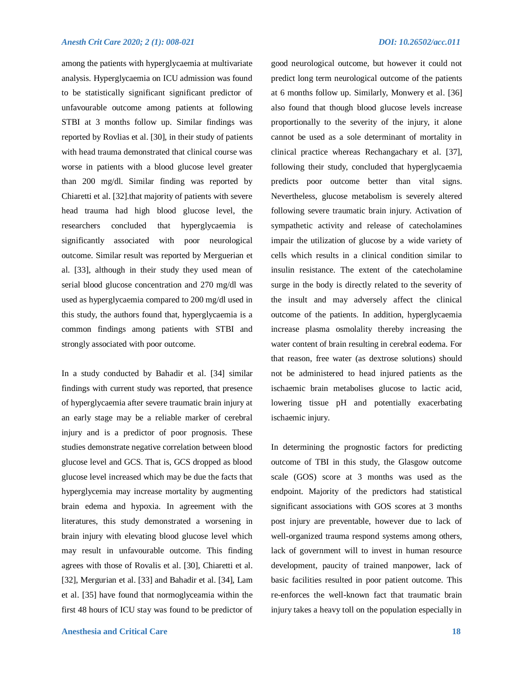among the patients with hyperglycaemia at multivariate analysis. Hyperglycaemia on ICU admission was found to be statistically significant significant predictor of unfavourable outcome among patients at following STBI at 3 months follow up. Similar findings was reported by Rovlias et al. [30], in their study of patients with head trauma demonstrated that clinical course was worse in patients with a blood glucose level greater than 200 mg/dl. Similar finding was reported by Chiaretti et al. [32].that majority of patients with severe head trauma had high blood glucose level, the researchers concluded that hyperglycaemia is significantly associated with poor neurological outcome. Similar result was reported by Merguerian et al. [33], although in their study they used mean of serial blood glucose concentration and 270 mg/dl was used as hyperglycaemia compared to 200 mg/dl used in this study, the authors found that, hyperglycaemia is a common findings among patients with STBI and strongly associated with poor outcome.

In a study conducted by Bahadir et al. [34] similar findings with current study was reported, that presence of hyperglycaemia after severe traumatic brain injury at an early stage may be a reliable marker of cerebral injury and is a predictor of poor prognosis. These studies demonstrate negative correlation between blood glucose level and GCS. That is, GCS dropped as blood glucose level increased which may be due the facts that hyperglycemia may increase mortality by augmenting brain edema and hypoxia. In agreement with the literatures, this study demonstrated a worsening in brain injury with elevating blood glucose level which may result in unfavourable outcome. This finding agrees with those of Rovalis et al. [30], Chiaretti et al. [32], Mergurian et al. [33] and Bahadir et al. [34], Lam et al. [35] have found that normoglyceamia within the first 48 hours of ICU stay was found to be predictor of good neurological outcome, but however it could not predict long term neurological outcome of the patients at 6 months follow up. Similarly, Monwery et al. [36] also found that though blood glucose levels increase proportionally to the severity of the injury, it alone cannot be used as a sole determinant of mortality in clinical practice whereas Rechangachary et al. [37], following their study, concluded that hyperglycaemia predicts poor outcome better than vital signs. Nevertheless, glucose metabolism is severely altered following severe traumatic brain injury. Activation of sympathetic activity and release of catecholamines impair the utilization of glucose by a wide variety of cells which results in a clinical condition similar to insulin resistance. The extent of the catecholamine surge in the body is directly related to the severity of the insult and may adversely affect the clinical outcome of the patients. In addition, hyperglycaemia increase plasma osmolality thereby increasing the water content of brain resulting in cerebral eodema. For that reason, free water (as dextrose solutions) should not be administered to head injured patients as the ischaemic brain metabolises glucose to lactic acid, lowering tissue pH and potentially exacerbating ischaemic injury.

In determining the prognostic factors for predicting outcome of TBI in this study, the Glasgow outcome scale (GOS) score at 3 months was used as the endpoint. Majority of the predictors had statistical significant associations with GOS scores at 3 months post injury are preventable, however due to lack of well-organized trauma respond systems among others, lack of government will to invest in human resource development, paucity of trained manpower, lack of basic facilities resulted in poor patient outcome. This re-enforces the well-known fact that traumatic brain injury takes a heavy toll on the population especially in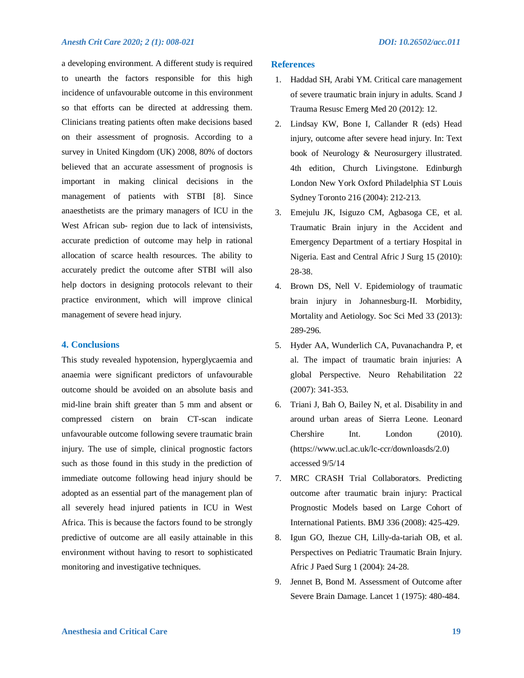a developing environment. A different study is required to unearth the factors responsible for this high incidence of unfavourable outcome in this environment so that efforts can be directed at addressing them. Clinicians treating patients often make decisions based on their assessment of prognosis. According to a survey in United Kingdom (UK) 2008, 80% of doctors believed that an accurate assessment of prognosis is important in making clinical decisions in the management of patients with STBI [8]. Since anaesthetists are the primary managers of ICU in the West African sub- region due to lack of intensivists, accurate prediction of outcome may help in rational allocation of scarce health resources. The ability to accurately predict the outcome after STBI will also help doctors in designing protocols relevant to their practice environment, which will improve clinical management of severe head injury.

#### **4. Conclusions**

This study revealed hypotension, hyperglycaemia and anaemia were significant predictors of unfavourable outcome should be avoided on an absolute basis and mid-line brain shift greater than 5 mm and absent or compressed cistern on brain CT-scan indicate unfavourable outcome following severe traumatic brain injury. The use of simple, clinical prognostic factors such as those found in this study in the prediction of immediate outcome following head injury should be adopted as an essential part of the management plan of all severely head injured patients in ICU in West Africa. This is because the factors found to be strongly predictive of outcome are all easily attainable in this environment without having to resort to sophisticated monitoring and investigative techniques.

#### **References**

- 1. Haddad SH, Arabi YM. Critical care management of severe traumatic brain injury in adults. Scand J Trauma Resusc Emerg Med 20 (2012): 12.
- 2. Lindsay KW, Bone I, Callander R (eds) Head injury, outcome after severe head injury. In: Text book of Neurology & Neurosurgery illustrated. 4th edition, Church Livingstone. Edinburgh London New York Oxford Philadelphia ST Louis Sydney Toronto 216 (2004): 212-213.
- 3. Emejulu JK, Isiguzo CM, Agbasoga CE, et al. Traumatic Brain injury in the Accident and Emergency Department of a tertiary Hospital in Nigeria. East and Central Afric J Surg 15 (2010): 28-38.
- 4. Brown DS, Nell V. Epidemiology of traumatic brain injury in Johannesburg-II. Morbidity, Mortality and Aetiology. Soc Sci Med 33 (2013): 289-296.
- 5. Hyder AA, Wunderlich CA, Puvanachandra P, et al. The impact of traumatic brain injuries: A global Perspective. Neuro Rehabilitation 22 (2007): 341-353.
- 6. Triani J, Bah O, Bailey N, et al. Disability in and around urban areas of Sierra Leone. Leonard Chershire Int. London (2010). (https://www.ucl.ac.uk/lc-ccr/downloasds/2.0) accessed 9/5/14
- 7. MRC CRASH Trial Collaborators. Predicting outcome after traumatic brain injury: Practical Prognostic Models based on Large Cohort of International Patients. BMJ 336 (2008): 425-429.
- 8. Igun GO, Ihezue CH, Lilly-da-tariah OB, et al. Perspectives on Pediatric Traumatic Brain Injury. Afric J Paed Surg 1 (2004): 24-28.
- 9. Jennet B, Bond M. Assessment of Outcome after Severe Brain Damage. Lancet 1 (1975): 480-484.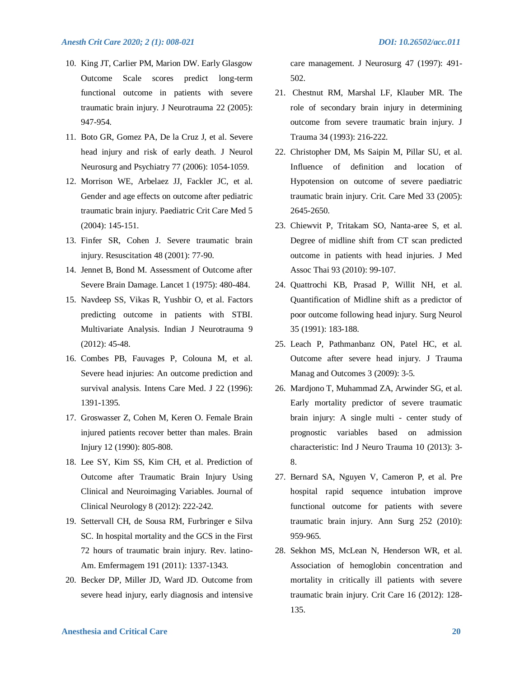- 10. King JT, Carlier PM, Marion DW. Early Glasgow Outcome Scale scores predict long-term functional outcome in patients with severe traumatic brain injury. J Neurotrauma 22 (2005): 947-954.
- 11. Boto GR, Gomez PA, De la Cruz J, et al. Severe head injury and risk of early death. J Neurol Neurosurg and Psychiatry 77 (2006): 1054-1059.
- 12. Morrison WE, Arbelaez JJ, Fackler JC, et al. Gender and age effects on outcome after pediatric traumatic brain injury. Paediatric Crit Care Med 5 (2004): 145-151.
- 13. Finfer SR, Cohen J. Severe traumatic brain injury. Resuscitation 48 (2001): 77-90.
- 14. Jennet B, Bond M. Assessment of Outcome after Severe Brain Damage. Lancet 1 (1975): 480-484.
- 15. Navdeep SS, Vikas R, Yushbir O, et al. Factors predicting outcome in patients with STBI. Multivariate Analysis. Indian J Neurotrauma 9 (2012): 45-48.
- 16. Combes PB, Fauvages P, Colouna M, et al. Severe head injuries: An outcome prediction and survival analysis. Intens Care Med. J 22 (1996): 1391-1395.
- 17. Groswasser Z, Cohen M, Keren O. Female Brain injured patients recover better than males. Brain Injury 12 (1990): 805-808.
- 18. Lee SY, Kim SS, Kim CH, et al. Prediction of Outcome after Traumatic Brain Injury Using Clinical and Neuroimaging Variables. Journal of Clinical Neurology 8 (2012): 222-242.
- 19. Settervall CH, de Sousa RM, Furbringer e Silva SC. In hospital mortality and the GCS in the First 72 hours of traumatic brain injury. Rev. latino-Am. Emfermagem 191 (2011): 1337-1343.
- 20. Becker DP, Miller JD, Ward JD. Outcome from severe head injury, early diagnosis and intensive

care management. J Neurosurg 47 (1997): 491- 502.

- 21. Chestnut RM, Marshal LF, Klauber MR. The role of secondary brain injury in determining outcome from severe traumatic brain injury. J Trauma 34 (1993): 216-222.
- 22. Christopher DM, Ms Saipin M, Pillar SU, et al. Influence of definition and location of Hypotension on outcome of severe paediatric traumatic brain injury. Crit. Care Med 33 (2005): 2645-2650.
- 23. Chiewvit P, Tritakam SO, Nanta-aree S, et al. Degree of midline shift from CT scan predicted outcome in patients with head injuries. J Med Assoc Thai 93 (2010): 99-107.
- 24. Quattrochi KB, Prasad P, Willit NH, et al. Quantification of Midline shift as a predictor of poor outcome following head injury. Surg Neurol 35 (1991): 183-188.
- 25. Leach P, Pathmanbanz ON, Patel HC, et al. Outcome after severe head injury. J Trauma Manag and Outcomes 3 (2009): 3-5.
- 26. Mardjono T, Muhammad ZA, Arwinder SG, et al. Early mortality predictor of severe traumatic brain injury: A single multi - center study of prognostic variables based on admission characteristic: Ind J Neuro Trauma 10 (2013): 3- 8.
- 27. Bernard SA, Nguyen V, Cameron P, et al. Pre hospital rapid sequence intubation improve functional outcome for patients with severe traumatic brain injury. Ann Surg 252 (2010): 959-965.
- 28. Sekhon MS, McLean N, Henderson WR, et al. Association of hemoglobin concentration and mortality in critically ill patients with severe traumatic brain injury. Crit Care 16 (2012): 128- 135.